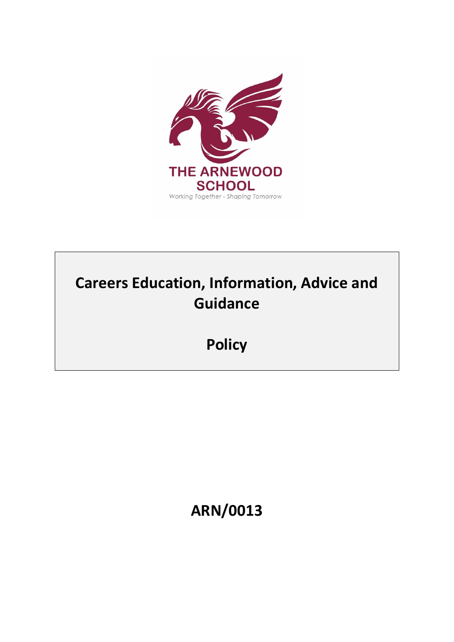

# **Careers Education, Information, Advice and Guidance**

**Policy**

**ARN/0013**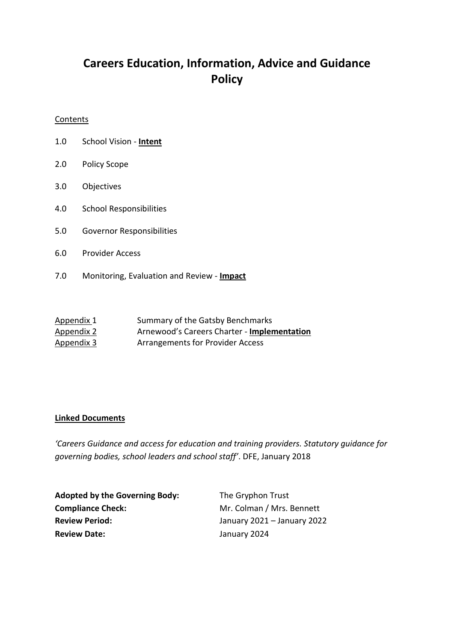## **Careers Education, Information, Advice and Guidance Policy**

#### **Contents**

- 1.0 School Vision **Intent**
- 2.0 Policy Scope
- 3.0 Objectives
- 4.0 School Responsibilities
- 5.0 Governor Responsibilities
- 6.0 Provider Access
- 7.0 Monitoring, Evaluation and Review **Impact**

| Appendix 1        | Summary of the Gatsby Benchmarks            |
|-------------------|---------------------------------------------|
| <u>Appendix 2</u> | Arnewood's Careers Charter - Implementation |
| <u>Appendix 3</u> | <b>Arrangements for Provider Access</b>     |

#### **Linked Documents**

*'Careers Guidance and access for education and training providers. Statutory guidance for governing bodies, school leaders and school staff'*. DFE, January 2018

| <b>Adopted by the Governing Body:</b> | The Gryphon Trust           |
|---------------------------------------|-----------------------------|
| <b>Compliance Check:</b>              | Mr. Colman / Mrs. Bennett   |
| <b>Review Period:</b>                 | January 2021 - January 2022 |
| <b>Review Date:</b>                   | January 2024                |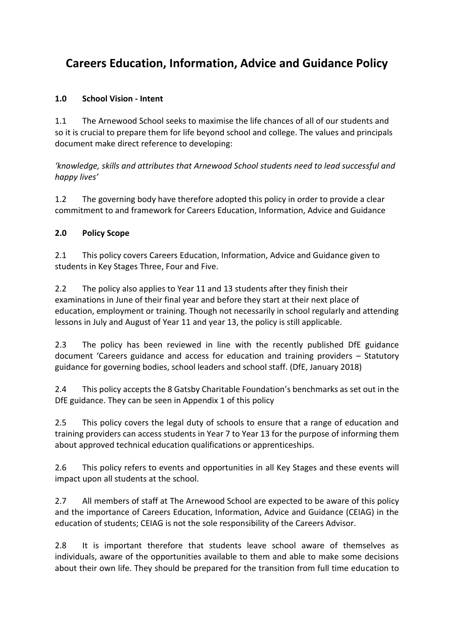# **Careers Education, Information, Advice and Guidance Policy**

#### **1.0 School Vision - Intent**

1.1 The Arnewood School seeks to maximise the life chances of all of our students and so it is crucial to prepare them for life beyond school and college. The values and principals document make direct reference to developing:

*'knowledge, skills and attributes that Arnewood School students need to lead successful and happy lives'*

1.2 The governing body have therefore adopted this policy in order to provide a clear commitment to and framework for Careers Education, Information, Advice and Guidance

#### **2.0 Policy Scope**

2.1 This policy covers Careers Education, Information, Advice and Guidance given to students in Key Stages Three, Four and Five.

2.2 The policy also applies to Year 11 and 13 students after they finish their examinations in June of their final year and before they start at their next place of education, employment or training. Though not necessarily in school regularly and attending lessons in July and August of Year 11 and year 13, the policy is still applicable.

2.3 The policy has been reviewed in line with the recently published DfE guidance document 'Careers guidance and access for education and training providers – Statutory guidance for governing bodies, school leaders and school staff. (DfE, January 2018)

2.4 This policy accepts the 8 Gatsby Charitable Foundation's benchmarks as set out in the DfE guidance. They can be seen in Appendix 1 of this policy

2.5 This policy covers the legal duty of schools to ensure that a range of education and training providers can access students in Year 7 to Year 13 for the purpose of informing them about approved technical education qualifications or apprenticeships.

2.6 This policy refers to events and opportunities in all Key Stages and these events will impact upon all students at the school.

2.7 All members of staff at The Arnewood School are expected to be aware of this policy and the importance of Careers Education, Information, Advice and Guidance (CEIAG) in the education of students; CEIAG is not the sole responsibility of the Careers Advisor.

2.8 It is important therefore that students leave school aware of themselves as individuals, aware of the opportunities available to them and able to make some decisions about their own life. They should be prepared for the transition from full time education to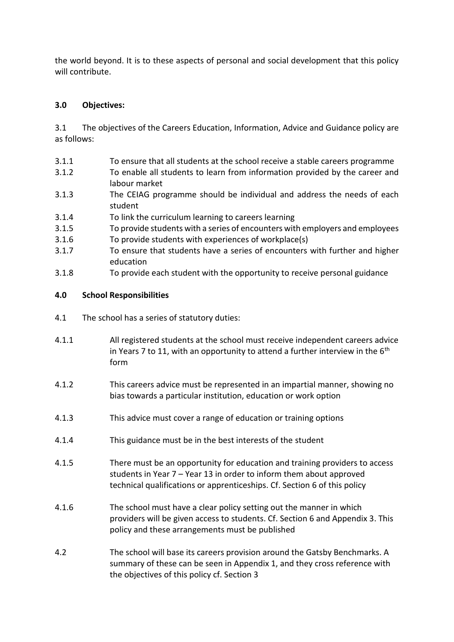the world beyond. It is to these aspects of personal and social development that this policy will contribute.

#### **3.0 Objectives:**

3.1 The objectives of the Careers Education, Information, Advice and Guidance policy are as follows:

- 3.1.1 To ensure that all students at the school receive a stable careers programme
- 3.1.2 To enable all students to learn from information provided by the career and labour market
- 3.1.3 The CEIAG programme should be individual and address the needs of each student
- 3.1.4 To link the curriculum learning to careers learning
- 3.1.5 To provide students with a series of encounters with employers and employees
- 3.1.6 To provide students with experiences of workplace(s)
- 3.1.7 To ensure that students have a series of encounters with further and higher education
- 3.1.8 To provide each student with the opportunity to receive personal guidance

#### **4.0 School Responsibilities**

- 4.1 The school has a series of statutory duties:
- 4.1.1 All registered students at the school must receive independent careers advice in Years 7 to 11, with an opportunity to attend a further interview in the  $6<sup>th</sup>$ form
- 4.1.2 This careers advice must be represented in an impartial manner, showing no bias towards a particular institution, education or work option
- 4.1.3 This advice must cover a range of education or training options
- 4.1.4 This guidance must be in the best interests of the student
- 4.1.5 There must be an opportunity for education and training providers to access students in Year 7 – Year 13 in order to inform them about approved technical qualifications or apprenticeships. Cf. Section 6 of this policy
- 4.1.6 The school must have a clear policy setting out the manner in which providers will be given access to students. Cf. Section 6 and Appendix 3. This policy and these arrangements must be published
- 4.2 The school will base its careers provision around the Gatsby Benchmarks. A summary of these can be seen in Appendix 1, and they cross reference with the objectives of this policy cf. Section 3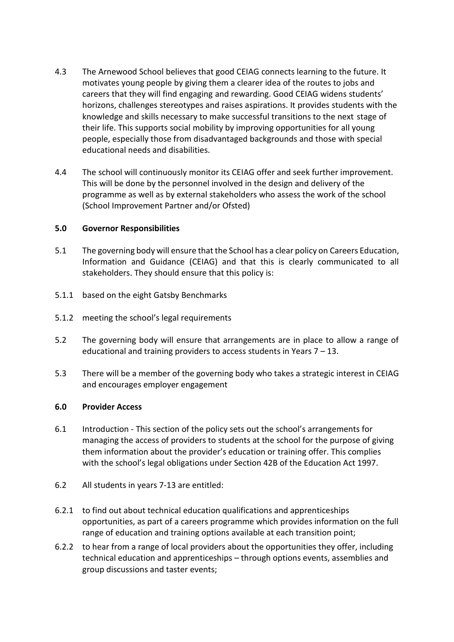- 4.3 The Arnewood School believes that good CEIAG connects learning to the future. It motivates young people by giving them a clearer idea of the routes to jobs and careers that they will find engaging and rewarding. Good CEIAG widens students' horizons, challenges stereotypes and raises aspirations. It provides students with the knowledge and skills necessary to make successful transitions to the next stage of their life. This supports social mobility by improving opportunities for all young people, especially those from disadvantaged backgrounds and those with special educational needs and disabilities.
- 4.4 The school will continuously monitor its CEIAG offer and seek further improvement. This will be done by the personnel involved in the design and delivery of the programme as well as by external stakeholders who assess the work of the school (School Improvement Partner and/or Ofsted)

#### **5.0 Governor Responsibilities**

- 5.1 The governing body will ensure that the School has a clear policy on Careers Education, Information and Guidance (CEIAG) and that this is clearly communicated to all stakeholders. They should ensure that this policy is:
- 5.1.1 based on the eight Gatsby Benchmarks
- 5.1.2 meeting the school's legal requirements
- 5.2 The governing body will ensure that arrangements are in place to allow a range of educational and training providers to access students in Years  $7 - 13$ .
- 5.3 There will be a member of the governing body who takes a strategic interest in CEIAG and encourages employer engagement

#### **6.0 Provider Access**

- 6.1 Introduction This section of the policy sets out the school's arrangements for managing the access of providers to students at the school for the purpose of giving them information about the provider's education or training offer. This complies with the school's legal obligations under Section 42B of the Education Act 1997.
- 6.2 All students in years 7-13 are entitled:
- 6.2.1 to find out about technical education qualifications and apprenticeships opportunities, as part of a careers programme which provides information on the full range of education and training options available at each transition point;
- 6.2.2 to hear from a range of local providers about the opportunities they offer, including technical education and apprenticeships – through options events, assemblies and group discussions and taster events;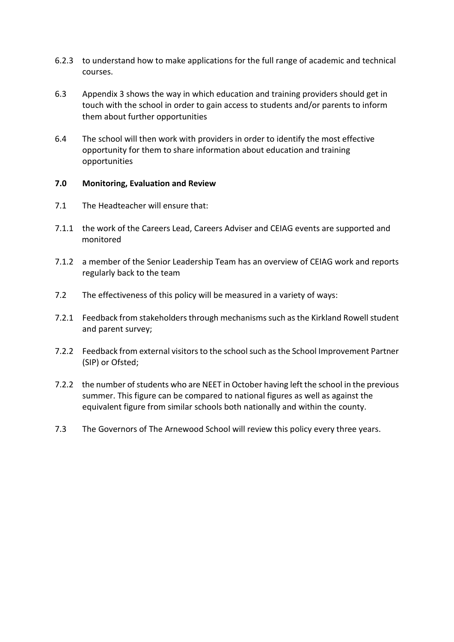- 6.2.3 to understand how to make applications for the full range of academic and technical courses.
- 6.3 Appendix 3 shows the way in which education and training providers should get in touch with the school in order to gain access to students and/or parents to inform them about further opportunities
- 6.4 The school will then work with providers in order to identify the most effective opportunity for them to share information about education and training opportunities

#### **7.0 Monitoring, Evaluation and Review**

- 7.1 The Headteacher will ensure that:
- 7.1.1 the work of the Careers Lead, Careers Adviser and CEIAG events are supported and monitored
- 7.1.2 a member of the Senior Leadership Team has an overview of CEIAG work and reports regularly back to the team
- 7.2 The effectiveness of this policy will be measured in a variety of ways:
- 7.2.1 Feedback from stakeholders through mechanisms such as the Kirkland Rowell student and parent survey;
- 7.2.2 Feedback from external visitors to the school such as the School Improvement Partner (SIP) or Ofsted;
- 7.2.2 the number of students who are NEET in October having left the school in the previous summer. This figure can be compared to national figures as well as against the equivalent figure from similar schools both nationally and within the county.
- 7.3 The Governors of The Arnewood School will review this policy every three years.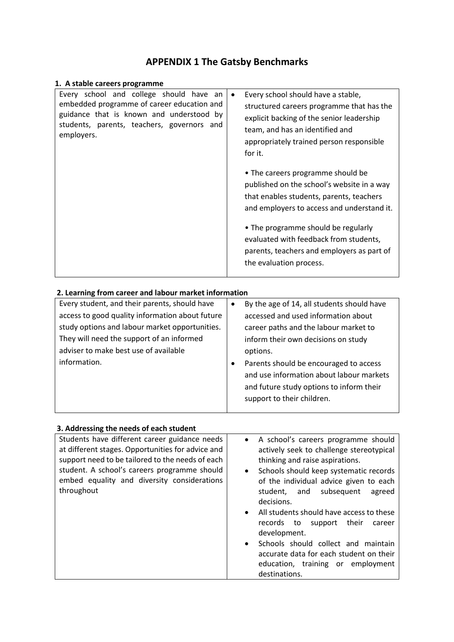### **APPENDIX 1 The Gatsby Benchmarks**

| 1. A stable careers programme                                                                                                                                                                 |                                                                                                                                                                                                                                                                                                                                                                                                                                                                                                                                                                            |
|-----------------------------------------------------------------------------------------------------------------------------------------------------------------------------------------------|----------------------------------------------------------------------------------------------------------------------------------------------------------------------------------------------------------------------------------------------------------------------------------------------------------------------------------------------------------------------------------------------------------------------------------------------------------------------------------------------------------------------------------------------------------------------------|
| Every school and college should have an<br>embedded programme of career education and<br>guidance that is known and understood by<br>students, parents, teachers, governors and<br>employers. | Every school should have a stable,<br>$\bullet$<br>structured careers programme that has the<br>explicit backing of the senior leadership<br>team, and has an identified and<br>appropriately trained person responsible<br>for it.<br>• The careers programme should be<br>published on the school's website in a way<br>that enables students, parents, teachers<br>and employers to access and understand it.<br>• The programme should be regularly<br>evaluated with feedback from students,<br>parents, teachers and employers as part of<br>the evaluation process. |

### **2. Learning from career and labour market information**

| Every student, and their parents, should have   | By the age of 14, all students should have |
|-------------------------------------------------|--------------------------------------------|
| access to good quality information about future | accessed and used information about        |
| study options and labour market opportunities.  | career paths and the labour market to      |
| They will need the support of an informed       | inform their own decisions on study        |
| adviser to make best use of available           | options.                                   |
| information.                                    | Parents should be encouraged to access     |
|                                                 | and use information about labour markets   |
|                                                 | and future study options to inform their   |
|                                                 | support to their children.                 |
|                                                 |                                            |

| 3. Addressing the needs of each student                                                                                                                                                                                                                             |                                                                                                                                                                                                                                                                                                                                                                                                                                                                                                                                                                  |
|---------------------------------------------------------------------------------------------------------------------------------------------------------------------------------------------------------------------------------------------------------------------|------------------------------------------------------------------------------------------------------------------------------------------------------------------------------------------------------------------------------------------------------------------------------------------------------------------------------------------------------------------------------------------------------------------------------------------------------------------------------------------------------------------------------------------------------------------|
| Students have different career guidance needs<br>at different stages. Opportunities for advice and<br>support need to be tailored to the needs of each<br>student. A school's careers programme should<br>embed equality and diversity considerations<br>throughout | A school's careers programme should<br>$\bullet$<br>actively seek to challenge stereotypical<br>thinking and raise aspirations.<br>Schools should keep systematic records<br>$\bullet$<br>of the individual advice given to each<br>subsequent<br>student, and<br>agreed<br>decisions.<br>All students should have access to these<br>$\bullet$<br>records to<br>their<br>support<br>career<br>development.<br>Schools should collect and maintain<br>$\bullet$<br>accurate data for each student on their<br>education, training or employment<br>destinations. |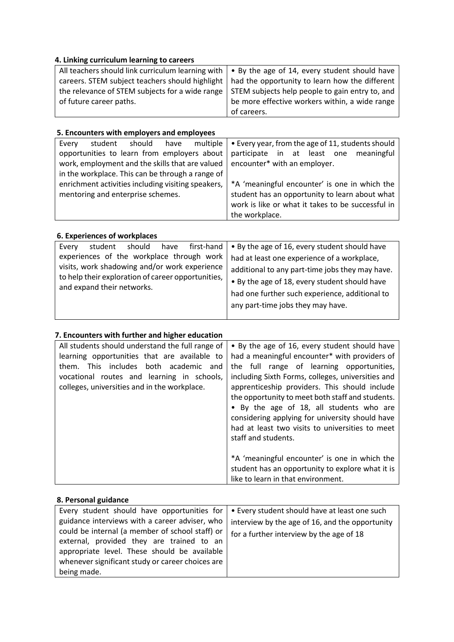#### **4. Linking curriculum learning to careers**

| All teachers should link curriculum learning with $\vert \cdot \vert$ by the age of 14, every student should have |                                                                                                  |
|-------------------------------------------------------------------------------------------------------------------|--------------------------------------------------------------------------------------------------|
|                                                                                                                   | careers. STEM subject teachers should highlight   had the opportunity to learn how the different |
| the relevance of STEM subjects for a wide range   STEM subjects help people to gain entry to, and                 |                                                                                                  |
| of future career paths.                                                                                           | be more effective workers within, a wide range                                                   |
|                                                                                                                   | of careers.                                                                                      |

#### **5. Encounters with employers and employees**

| Every                                              | student                                     | should | have                                              | multiple | • Every year, from the age of 11, students should |
|----------------------------------------------------|---------------------------------------------|--------|---------------------------------------------------|----------|---------------------------------------------------|
|                                                    | opportunities to learn from employers about |        |                                                   |          | participate in at least one meaningful            |
| work, employment and the skills that are valued    |                                             |        | encounter* with an employer.                      |          |                                                   |
| in the workplace. This can be through a range of   |                                             |        |                                                   |          |                                                   |
| enrichment activities including visiting speakers, |                                             |        | *A 'meaningful encounter' is one in which the     |          |                                                   |
| mentoring and enterprise schemes.                  |                                             |        | student has an opportunity to learn about what    |          |                                                   |
|                                                    |                                             |        | work is like or what it takes to be successful in |          |                                                   |
|                                                    |                                             |        |                                                   |          | the workplace.                                    |

#### **6. Experiences of workplaces**

| first-hand<br>should<br>student<br>Every<br>have<br>experiences of the workplace through work<br>visits, work shadowing and/or work experience | • By the age of 16, every student should have<br>had at least one experience of a workplace,                                                                                            |
|------------------------------------------------------------------------------------------------------------------------------------------------|-----------------------------------------------------------------------------------------------------------------------------------------------------------------------------------------|
| to help their exploration of career opportunities,<br>and expand their networks.                                                               | additional to any part-time jobs they may have.<br>• By the age of 18, every student should have<br>had one further such experience, additional to<br>any part-time jobs they may have. |

#### **7. Encounters with further and higher education**

| All students should understand the full range of<br>learning opportunities that are available to<br>This includes both academic and<br>them.<br>vocational routes and learning in schools,<br>colleges, universities and in the workplace. | • By the age of 16, every student should have<br>had a meaningful encounter* with providers of<br>the full range of learning opportunities,<br>including Sixth Forms, colleges, universities and<br>apprenticeship providers. This should include<br>the opportunity to meet both staff and students.<br>• By the age of 18, all students who are<br>considering applying for university should have |  |
|--------------------------------------------------------------------------------------------------------------------------------------------------------------------------------------------------------------------------------------------|------------------------------------------------------------------------------------------------------------------------------------------------------------------------------------------------------------------------------------------------------------------------------------------------------------------------------------------------------------------------------------------------------|--|
|                                                                                                                                                                                                                                            | had at least two visits to universities to meet<br>staff and students.                                                                                                                                                                                                                                                                                                                               |  |
|                                                                                                                                                                                                                                            | *A 'meaningful encounter' is one in which the<br>student has an opportunity to explore what it is<br>like to learn in that environment.                                                                                                                                                                                                                                                              |  |

#### **8. Personal guidance**

| Every student should have opportunities for                                                                                                                                                                                                        | • Every student should have at least one such                                               |
|----------------------------------------------------------------------------------------------------------------------------------------------------------------------------------------------------------------------------------------------------|---------------------------------------------------------------------------------------------|
| guidance interviews with a career adviser, who<br>could be internal (a member of school staff) or<br>external, provided they are trained to an<br>appropriate level. These should be available<br>whenever significant study or career choices are | interview by the age of 16, and the opportunity<br>for a further interview by the age of 18 |
| being made.                                                                                                                                                                                                                                        |                                                                                             |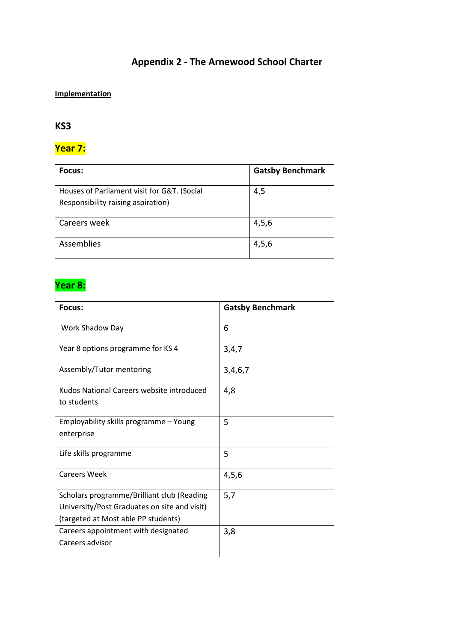### **Appendix 2 - The Arnewood School Charter**

### **Implementation**

### **KS3**

### **Year 7:**

| <b>Focus:</b>                                                                     | <b>Gatsby Benchmark</b> |
|-----------------------------------------------------------------------------------|-------------------------|
| Houses of Parliament visit for G&T. (Social<br>Responsibility raising aspiration) | 4,5                     |
| Careers week                                                                      | 4,5,6                   |
| Assemblies                                                                        | 4,5,6                   |

# **Year 8:**

| Focus:                                       | <b>Gatsby Benchmark</b> |
|----------------------------------------------|-------------------------|
| Work Shadow Day                              | 6                       |
| Year 8 options programme for KS 4            | 3,4,7                   |
| Assembly/Tutor mentoring                     | 3,4,6,7                 |
| Kudos National Careers website introduced    | 4,8                     |
| to students                                  |                         |
| Employability skills programme - Young       | 5                       |
| enterprise                                   |                         |
| Life skills programme                        | 5                       |
| <b>Careers Week</b>                          | 4,5,6                   |
| Scholars programme/Brilliant club (Reading   | 5,7                     |
| University/Post Graduates on site and visit) |                         |
| (targeted at Most able PP students)          |                         |
| Careers appointment with designated          | 3,8                     |
| Careers advisor                              |                         |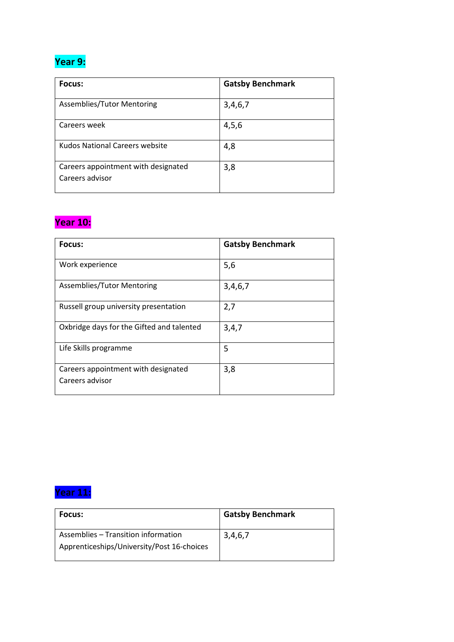## **Year 9:**

| Focus:                                                 | <b>Gatsby Benchmark</b> |
|--------------------------------------------------------|-------------------------|
| Assemblies/Tutor Mentoring                             | 3,4,6,7                 |
| Careers week                                           | 4,5,6                   |
| Kudos National Careers website                         | 4,8                     |
| Careers appointment with designated<br>Careers advisor | 3,8                     |

## **Year 10:**

| Focus:                                                 | <b>Gatsby Benchmark</b> |
|--------------------------------------------------------|-------------------------|
| Work experience                                        | 5,6                     |
| Assemblies/Tutor Mentoring                             | 3,4,6,7                 |
| Russell group university presentation                  | 2,7                     |
| Oxbridge days for the Gifted and talented              | 3,4,7                   |
| Life Skills programme                                  | 5                       |
| Careers appointment with designated<br>Careers advisor | 3,8                     |

# **Year 11:**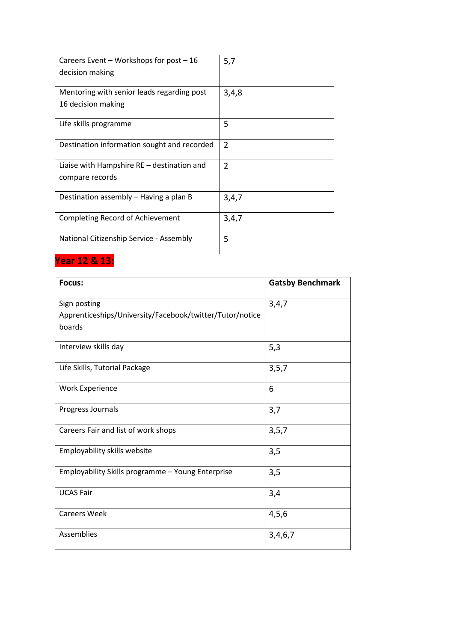| Careers Event - Workshops for post - 16     | 5,7            |
|---------------------------------------------|----------------|
| decision making                             |                |
| Mentoring with senior leads regarding post  | 3,4,8          |
| 16 decision making                          |                |
| Life skills programme                       | 5              |
| Destination information sought and recorded | $\overline{2}$ |
| Liaise with Hampshire RE – destination and  | $\mathcal{P}$  |
| compare records                             |                |
| Destination assembly - Having a plan B      | 3,4,7          |
| Completing Record of Achievement            | 3,4,7          |
| National Citizenship Service - Assembly     | 5              |

**Year 12 & 13:**

| Focus:                                                   | <b>Gatsby Benchmark</b> |
|----------------------------------------------------------|-------------------------|
| Sign posting                                             | 3,4,7                   |
| Apprenticeships/University/Facebook/twitter/Tutor/notice |                         |
| boards                                                   |                         |
| Interview skills day                                     | 5,3                     |
| Life Skills, Tutorial Package                            | 3, 5, 7                 |
| <b>Work Experience</b>                                   | 6                       |
| Progress Journals                                        | 3,7                     |
| Careers Fair and list of work shops                      | 3, 5, 7                 |
| Employability skills website                             | 3,5                     |
| Employability Skills programme - Young Enterprise        | 3,5                     |
| <b>UCAS Fair</b>                                         | 3,4                     |
| <b>Careers Week</b>                                      | 4, 5, 6                 |
| Assemblies                                               | 3,4,6,7                 |